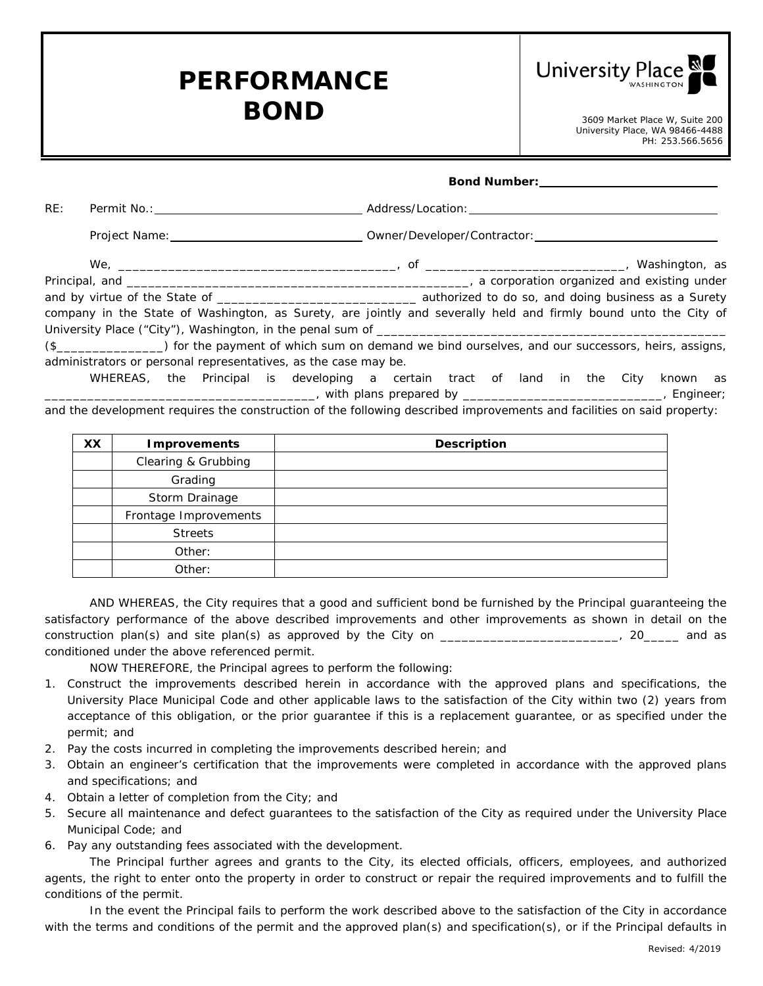## **PERFORMANCE BOND** 3609 Market Place W, Suite 200



University Place, WA 98466-4488 PH: 253.566.5656

| RE: |                                                                 |                                                                                                                                                                                                                                |  |
|-----|-----------------------------------------------------------------|--------------------------------------------------------------------------------------------------------------------------------------------------------------------------------------------------------------------------------|--|
|     |                                                                 |                                                                                                                                                                                                                                |  |
|     |                                                                 |                                                                                                                                                                                                                                |  |
|     |                                                                 |                                                                                                                                                                                                                                |  |
|     |                                                                 |                                                                                                                                                                                                                                |  |
|     |                                                                 | company in the State of Washington, as Surety, are jointly and severally held and firmly bound unto the City of                                                                                                                |  |
|     |                                                                 |                                                                                                                                                                                                                                |  |
|     |                                                                 | (\$________________) for the payment of which sum on demand we bind ourselves, and our successors, heirs, assigns,                                                                                                             |  |
|     | administrators or personal representatives, as the case may be. |                                                                                                                                                                                                                                |  |
|     |                                                                 | WHEREAS, the Principal is developing a certain tract of land in the City known as                                                                                                                                              |  |
|     |                                                                 | [and the state of the state of the state of the state of the state of the state of the state of the state of the state of the state of the state of the state of the state of the state of the state of the state of the state |  |

and the development requires the construction of the following described improvements and facilities on said property:

| XX | <b>Improvements</b>   | <b>Description</b> |
|----|-----------------------|--------------------|
|    | Clearing & Grubbing   |                    |
|    | Grading               |                    |
|    | Storm Drainage        |                    |
|    | Frontage Improvements |                    |
|    | <b>Streets</b>        |                    |
|    | Other:                |                    |
|    | Other:                |                    |

AND WHEREAS, the City requires that a good and sufficient bond be furnished by the Principal guaranteeing the satisfactory performance of the above described improvements and other improvements as shown in detail on the construction plan(s) and site plan(s) as approved by the City on  $\frac{1}{\sqrt{2}}$  and  $\frac{1}{\sqrt{2}}$  and as conditioned under the above referenced permit.

NOW THEREFORE, the Principal agrees to perform the following:

- 1. Construct the improvements described herein in accordance with the approved plans and specifications, the University Place Municipal Code and other applicable laws to the satisfaction of the City within two (2) years from acceptance of this obligation, or the prior guarantee if this is a replacement guarantee, or as specified under the permit; and
- 2. Pay the costs incurred in completing the improvements described herein; and
- 3. Obtain an engineer's certification that the improvements were completed in accordance with the approved plans and specifications; and
- 4. Obtain a letter of completion from the City; and
- 5. Secure all maintenance and defect guarantees to the satisfaction of the City as required under the University Place Municipal Code; and
- 6. Pay any outstanding fees associated with the development.

The Principal further agrees and grants to the City, its elected officials, officers, employees, and authorized agents, the right to enter onto the property in order to construct or repair the required improvements and to fulfill the conditions of the permit.

In the event the Principal fails to perform the work described above to the satisfaction of the City in accordance with the terms and conditions of the permit and the approved plan(s) and specification(s), or if the Principal defaults in